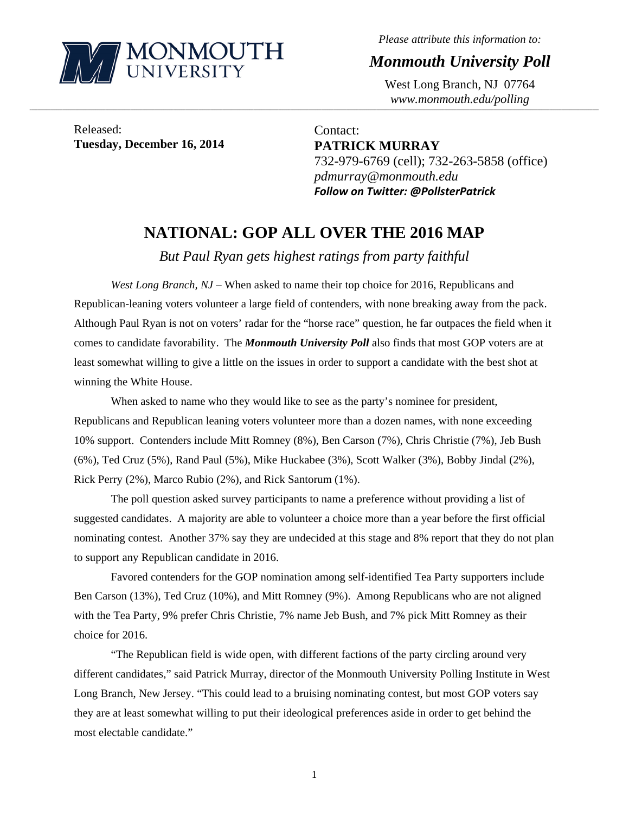

*Please attribute this information to:* 

*Monmouth University Poll* 

West Long Branch, NJ 07764 *www.monmouth.edu/polling* 

Released: **Tuesday, December 16, 2014** 

Contact: **PATRICK MURRAY**  732-979-6769 (cell); 732-263-5858 (office) *pdmurray@monmouth.edu Follow on Twitter: @PollsterPatrick*

## **NATIONAL: GOP ALL OVER THE 2016 MAP**

,一个人的人都是不是,我们的人都是不是,我们的人都是不是,我们的人都是不是,我们的人都是不是,我们的人都是不是,我们的人都是不是,我们的人都是不是,我们的人都是不

*But Paul Ryan gets highest ratings from party faithful* 

*West Long Branch, NJ* – When asked to name their top choice for 2016, Republicans and Republican-leaning voters volunteer a large field of contenders, with none breaking away from the pack. Although Paul Ryan is not on voters' radar for the "horse race" question, he far outpaces the field when it comes to candidate favorability. The *Monmouth University Poll* also finds that most GOP voters are at least somewhat willing to give a little on the issues in order to support a candidate with the best shot at winning the White House.

 When asked to name who they would like to see as the party's nominee for president, Republicans and Republican leaning voters volunteer more than a dozen names, with none exceeding 10% support. Contenders include Mitt Romney (8%), Ben Carson (7%), Chris Christie (7%), Jeb Bush (6%), Ted Cruz (5%), Rand Paul (5%), Mike Huckabee (3%), Scott Walker (3%), Bobby Jindal (2%), Rick Perry (2%), Marco Rubio (2%), and Rick Santorum (1%).

 The poll question asked survey participants to name a preference without providing a list of suggested candidates. A majority are able to volunteer a choice more than a year before the first official nominating contest. Another 37% say they are undecided at this stage and 8% report that they do not plan to support any Republican candidate in 2016.

 Favored contenders for the GOP nomination among self-identified Tea Party supporters include Ben Carson (13%), Ted Cruz (10%), and Mitt Romney (9%). Among Republicans who are not aligned with the Tea Party, 9% prefer Chris Christie, 7% name Jeb Bush, and 7% pick Mitt Romney as their choice for 2016.

 "The Republican field is wide open, with different factions of the party circling around very different candidates," said Patrick Murray, director of the Monmouth University Polling Institute in West Long Branch, New Jersey. "This could lead to a bruising nominating contest, but most GOP voters say they are at least somewhat willing to put their ideological preferences aside in order to get behind the most electable candidate."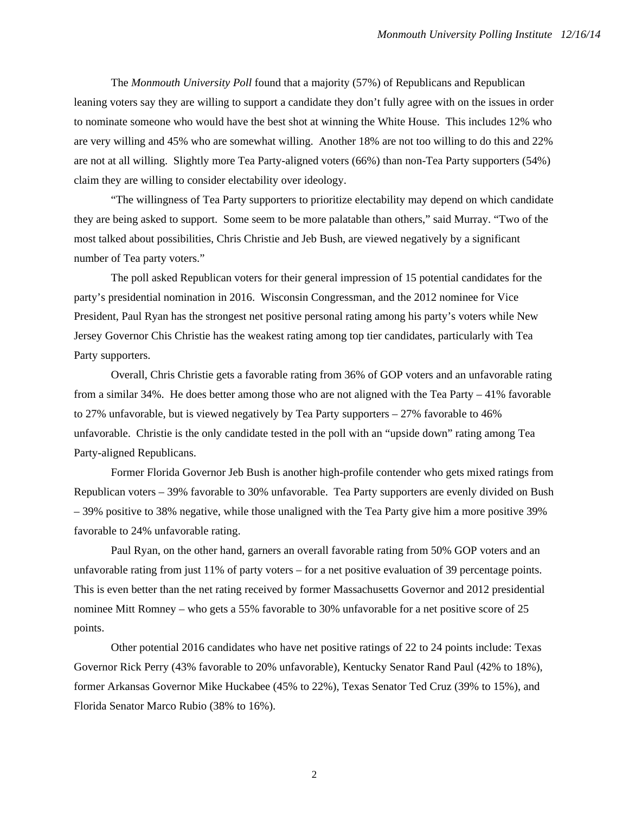The *Monmouth University Poll* found that a majority (57%) of Republicans and Republican leaning voters say they are willing to support a candidate they don't fully agree with on the issues in order to nominate someone who would have the best shot at winning the White House. This includes 12% who are very willing and 45% who are somewhat willing. Another 18% are not too willing to do this and 22% are not at all willing. Slightly more Tea Party-aligned voters (66%) than non-Tea Party supporters (54%) claim they are willing to consider electability over ideology.

 "The willingness of Tea Party supporters to prioritize electability may depend on which candidate they are being asked to support. Some seem to be more palatable than others," said Murray. "Two of the most talked about possibilities, Chris Christie and Jeb Bush, are viewed negatively by a significant number of Tea party voters."

 The poll asked Republican voters for their general impression of 15 potential candidates for the party's presidential nomination in 2016. Wisconsin Congressman, and the 2012 nominee for Vice President, Paul Ryan has the strongest net positive personal rating among his party's voters while New Jersey Governor Chis Christie has the weakest rating among top tier candidates, particularly with Tea Party supporters.

 Overall, Chris Christie gets a favorable rating from 36% of GOP voters and an unfavorable rating from a similar 34%. He does better among those who are not aligned with the Tea Party – 41% favorable to 27% unfavorable, but is viewed negatively by Tea Party supporters – 27% favorable to 46% unfavorable. Christie is the only candidate tested in the poll with an "upside down" rating among Tea Party-aligned Republicans.

 Former Florida Governor Jeb Bush is another high-profile contender who gets mixed ratings from Republican voters – 39% favorable to 30% unfavorable. Tea Party supporters are evenly divided on Bush – 39% positive to 38% negative, while those unaligned with the Tea Party give him a more positive 39% favorable to 24% unfavorable rating.

 Paul Ryan, on the other hand, garners an overall favorable rating from 50% GOP voters and an unfavorable rating from just 11% of party voters – for a net positive evaluation of 39 percentage points. This is even better than the net rating received by former Massachusetts Governor and 2012 presidential nominee Mitt Romney – who gets a 55% favorable to 30% unfavorable for a net positive score of 25 points.

 Other potential 2016 candidates who have net positive ratings of 22 to 24 points include: Texas Governor Rick Perry (43% favorable to 20% unfavorable), Kentucky Senator Rand Paul (42% to 18%), former Arkansas Governor Mike Huckabee (45% to 22%), Texas Senator Ted Cruz (39% to 15%), and Florida Senator Marco Rubio (38% to 16%).

2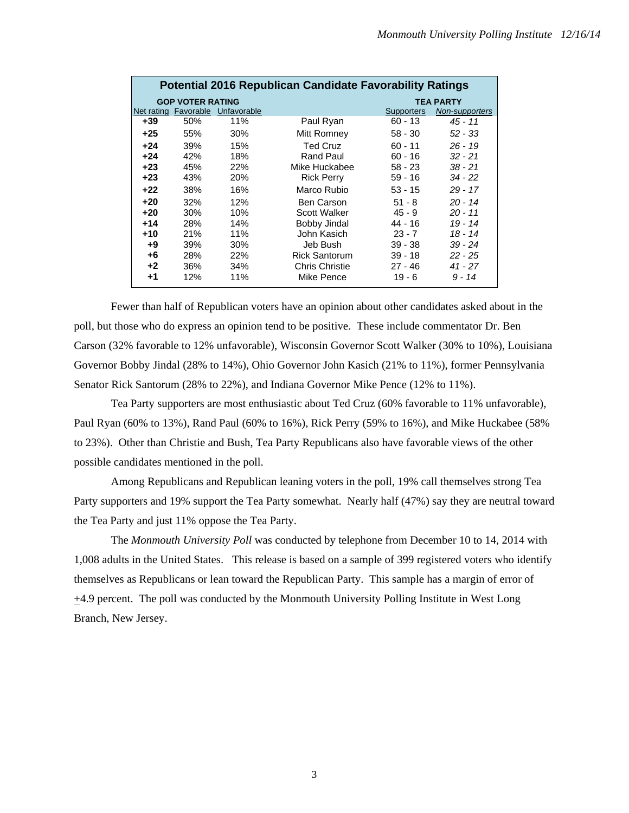| <b>Potential 2016 Republican Candidate Favorability Ratings</b> |           |             |                       |                   |                  |  |
|-----------------------------------------------------------------|-----------|-------------|-----------------------|-------------------|------------------|--|
| <b>GOP VOTER RATING</b>                                         |           |             |                       |                   | <b>TEA PARTY</b> |  |
| Net rating                                                      | Favorable | Unfavorable |                       | <b>Supporters</b> | Non-supporters   |  |
| $+39$                                                           | 50%       | 11%         | Paul Ryan             | $60 - 13$         | $45 - 11$        |  |
| $+25$                                                           | 55%       | 30%         | Mitt Romney           | $58 - 30$         | 52 - 33          |  |
| $+24$                                                           | 39%       | 15%         | <b>Ted Cruz</b>       | $60 - 11$         | $26 - 19$        |  |
| $+24$                                                           | 42%       | 18%         | Rand Paul             | $60 - 16$         | $32 - 21$        |  |
| $+23$                                                           | 45%       | 22%         | Mike Huckabee         | $58 - 23$         | $38 - 21$        |  |
| $+23$                                                           | 43%       | 20%         | <b>Rick Perry</b>     | $59 - 16$         | 34 - 22          |  |
| $+22$                                                           | 38%       | 16%         | Marco Rubio           | $53 - 15$         | $29 - 17$        |  |
| $+20$                                                           | 32%       | 12%         | Ben Carson            | $51 - 8$          | $20 - 14$        |  |
| $+20$                                                           | 30%       | 10%         | <b>Scott Walker</b>   | $45 - 9$          | $20 - 11$        |  |
| +14                                                             | 28%       | 14%         | Bobby Jindal          | 44 - 16           | 19 - 14          |  |
| +10                                                             | 21%       | 11%         | John Kasich           | $23 - 7$          | 18 - 14          |  |
| +9                                                              | 39%       | 30%         | Jeb Bush              | $39 - 38$         | $39 - 24$        |  |
| +6                                                              | 28%       | 22%         | <b>Rick Santorum</b>  | $39 - 18$         | $22 - 25$        |  |
| $+2$                                                            | 36%       | 34%         | <b>Chris Christie</b> | $27 - 46$         | 41 - 27          |  |
| +1                                                              | 12%       | 11%         | Mike Pence            | 19 - 6            | 9 - 14           |  |

Fewer than half of Republican voters have an opinion about other candidates asked about in the poll, but those who do express an opinion tend to be positive. These include commentator Dr. Ben Carson (32% favorable to 12% unfavorable), Wisconsin Governor Scott Walker (30% to 10%), Louisiana Governor Bobby Jindal (28% to 14%), Ohio Governor John Kasich (21% to 11%), former Pennsylvania Senator Rick Santorum (28% to 22%), and Indiana Governor Mike Pence (12% to 11%).

 Tea Party supporters are most enthusiastic about Ted Cruz (60% favorable to 11% unfavorable), Paul Ryan (60% to 13%), Rand Paul (60% to 16%), Rick Perry (59% to 16%), and Mike Huckabee (58% to 23%). Other than Christie and Bush, Tea Party Republicans also have favorable views of the other possible candidates mentioned in the poll.

 Among Republicans and Republican leaning voters in the poll, 19% call themselves strong Tea Party supporters and 19% support the Tea Party somewhat. Nearly half (47%) say they are neutral toward the Tea Party and just 11% oppose the Tea Party.

The *Monmouth University Poll* was conducted by telephone from December 10 to 14, 2014 with 1,008 adults in the United States. This release is based on a sample of 399 registered voters who identify themselves as Republicans or lean toward the Republican Party. This sample has a margin of error of +4.9 percent. The poll was conducted by the Monmouth University Polling Institute in West Long Branch, New Jersey.

3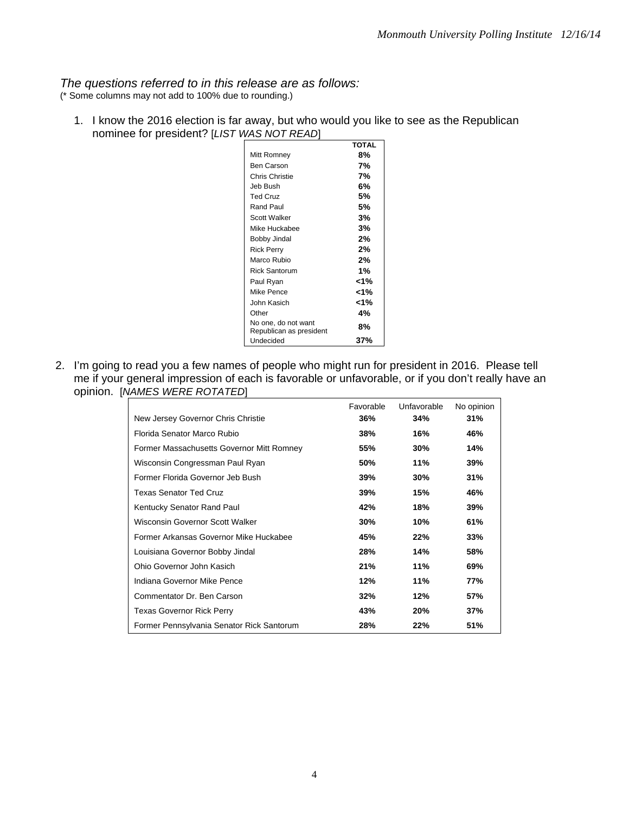## *The questions referred to in this release are as follows:*

(\* Some columns may not add to 100% due to rounding.)

1. I know the 2016 election is far away, but who would you like to see as the Republican nominee for president? [*LIST WAS NOT READ*]

| TOTAL<br>8%<br>Mitt Romney<br>7%<br>Ben Carson<br>7%<br>Chris Christie<br>Jeb Bush<br>6%<br>5%<br><b>Ted Cruz</b><br>5%<br>Rand Paul |  |
|--------------------------------------------------------------------------------------------------------------------------------------|--|
|                                                                                                                                      |  |
|                                                                                                                                      |  |
|                                                                                                                                      |  |
|                                                                                                                                      |  |
|                                                                                                                                      |  |
|                                                                                                                                      |  |
|                                                                                                                                      |  |
| Scott Walker<br>3%                                                                                                                   |  |
| Mike Huckabee<br>3%                                                                                                                  |  |
| 2%<br><b>Bobby Jindal</b>                                                                                                            |  |
| 2%<br><b>Rick Perry</b>                                                                                                              |  |
| Marco Rubio<br>2%                                                                                                                    |  |
| 1%<br><b>Rick Santorum</b>                                                                                                           |  |
| 1%><br>Paul Ryan                                                                                                                     |  |
| 1%><br>Mike Pence                                                                                                                    |  |
| John Kasich<br>1%>                                                                                                                   |  |
| Other<br>4%                                                                                                                          |  |
| No one, do not want<br>8%                                                                                                            |  |
| Republican as president                                                                                                              |  |
| Undecided<br>37%                                                                                                                     |  |

2. I'm going to read you a few names of people who might run for president in 2016. Please tell me if your general impression of each is favorable or unfavorable, or if you don't really have an opinion. [*NAMES WERE ROTATED*]

|                                           | Favorable | Unfavorable | No opinion |
|-------------------------------------------|-----------|-------------|------------|
| New Jersey Governor Chris Christie        | 36%       | 34%         | 31%        |
| Florida Senator Marco Rubio               | 38%       | 16%         | 46%        |
| Former Massachusetts Governor Mitt Romney | 55%       | 30%         | 14%        |
| Wisconsin Congressman Paul Ryan           | 50%       | 11%         | 39%        |
| Former Florida Governor Jeb Bush          | 39%       | 30%         | 31%        |
| <b>Texas Senator Ted Cruz</b>             | 39%       | 15%         | 46%        |
| Kentucky Senator Rand Paul                | 42%       | 18%         | 39%        |
| Wisconsin Governor Scott Walker           | 30%       | 10%         | 61%        |
| Former Arkansas Governor Mike Huckabee    | 45%       | 22%         | 33%        |
| Louisiana Governor Bobby Jindal           | 28%       | 14%         | 58%        |
| Ohio Governor John Kasich                 | 21%       | 11%         | 69%        |
| Indiana Governor Mike Pence               | 12%       | 11%         | 77%        |
| Commentator Dr. Ben Carson                | 32%       | 12%         | 57%        |
| <b>Texas Governor Rick Perry</b>          | 43%       | 20%         | 37%        |
| Former Pennsylvania Senator Rick Santorum | 28%       | 22%         | 51%        |